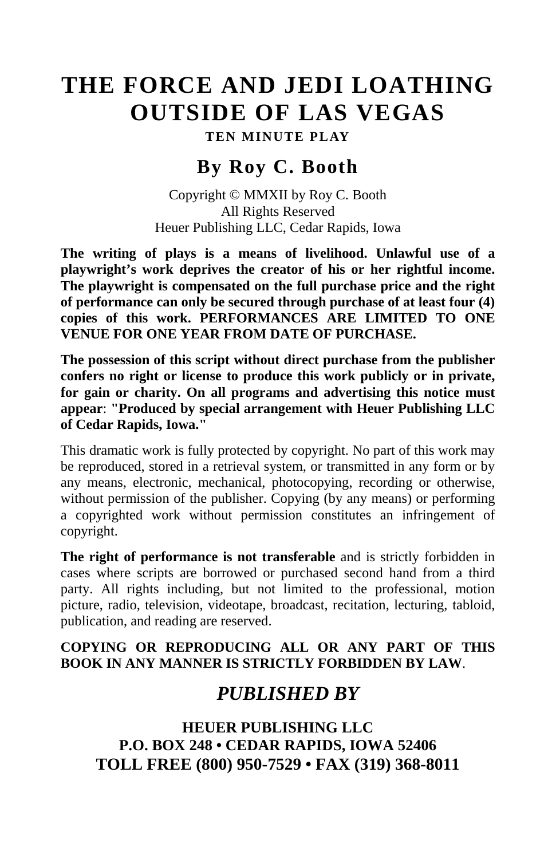# **THE FORCE AND JEDI LOATHING OUTSIDE OF LAS VEGAS**

**TEN MINUTE PLAY**

### **By Roy C. Booth**

Copyright © MMXII by Roy C. Booth All Rights Reserved Heuer Publishing LLC, Cedar Rapids, Iowa

**The writing of plays is a means of livelihood. Unlawful use of a playwright's work deprives the creator of his or her rightful income. The playwright is compensated on the full purchase price and the right of performance can only be secured through purchase of at least four (4) copies of this work. PERFORMANCES ARE LIMITED TO ONE VENUE FOR ONE YEAR FROM DATE OF PURCHASE.**

**The possession of this script without direct purchase from the publisher confers no right or license to produce this work publicly or in private, for gain or charity. On all programs and advertising this notice must appear**: **"Produced by special arrangement with Heuer Publishing LLC of Cedar Rapids, Iowa."**

This dramatic work is fully protected by copyright. No part of this work may be reproduced, stored in a retrieval system, or transmitted in any form or by any means, electronic, mechanical, photocopying, recording or otherwise, without permission of the publisher. Copying (by any means) or performing a copyrighted work without permission constitutes an infringement of copyright.

**The right of performance is not transferable** and is strictly forbidden in cases where scripts are borrowed or purchased second hand from a third party. All rights including, but not limited to the professional, motion picture, radio, television, videotape, broadcast, recitation, lecturing, tabloid, publication, and reading are reserved.

#### **COPYING OR REPRODUCING ALL OR ANY PART OF THIS BOOK IN ANY MANNER IS STRICTLY FORBIDDEN BY LAW**.

## *PUBLISHED BY*

**HEUER PUBLISHING LLC P.O. BOX 248 • CEDAR RAPIDS, IOWA 52406 TOLL FREE (800) 950-7529 • FAX (319) 368-8011**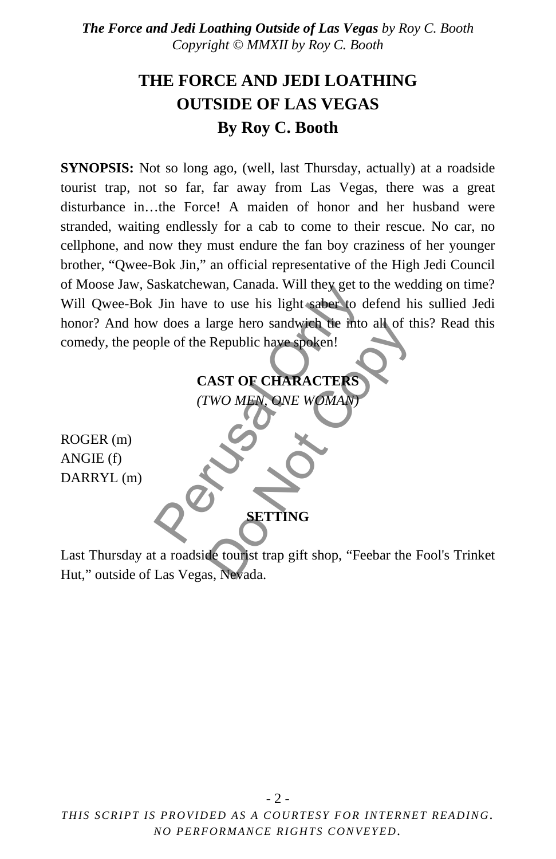### **THE FORCE AND JEDI LOATHING OUTSIDE OF LAS VEGAS By Roy C. Booth**

**SYNOPSIS:** Not so long ago, (well, last Thursday, actually) at a roadside tourist trap, not so far, far away from Las Vegas, there was a great disturbance in…the Force! A maiden of honor and her husband were stranded, waiting endlessly for a cab to come to their rescue. No car, no cellphone, and now they must endure the fan boy craziness of her younger brother, "Qwee-Bok Jin," an official representative of the High Jedi Council of Moose Jaw, Saskatchewan, Canada. Will they get to the wedding on time? Will Qwee-Bok Jin have to use his light saber to defend his sullied Jedi honor? And how does a large hero sandwich tie into all of this? Read this comedy, the people of the Republic have spoken! SERVED SERVED SERVED SERVED SERVED SERVED SERVED ON A SERVED ON A SURFACTER CHARACTERS (TWO MEN, ONE WOMAN)

### **CAST OF CHARACTERS**

*(TWO MEN, ONE WOMAN)*

ROGER (m) ANGIE (f) DARRYL (m)

Last Thursday at a roadside tourist trap gift shop, "Feebar the Fool's Trinket Hut," outside of Las Vegas, Nevada. Exercise de moissant de moissant de moissant de moissant de moissant de la processe de la processe de la processe de la processe de la processe de la processe de la processe de la processe de la processe de la processe de

**SETTING**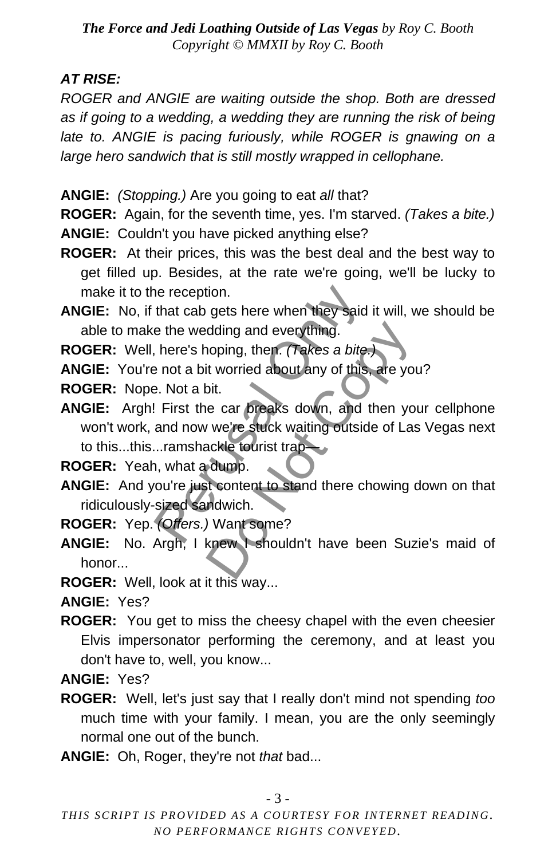#### *AT RISE:*

*ROGER and ANGIE are waiting outside the shop. Both are dressed*  as if going to a wedding, a wedding they are running the risk of being late to. ANGIE is pacing furiously, while ROGER is gnawing on a *large hero sandwich that is still mostly wrapped in cellophane.*

- **ANGIE:** *(Stopping.)* Are you going to eat *all* that?
- **ROGER:** Again, for the seventh time, yes. I'm starved. *(Takes a bite.)*  **ANGIE:** Couldn't you have picked anything else?
- **ROGER:** At their prices, this was the best deal and the best way to get filled up. Besides, at the rate we're going, we'll be lucky to make it to the reception.
- **ANGIE:** No, if that cab gets here when they said it will, we should be able to make the wedding and everything.
- **ROGER:** Well, here's hoping, then. *(Takes a bite.)*
- **ANGIE:** You're not a bit worried about any of this, are you?

**ROGER:** Nope. Not a bit.

**ANGIE:** Argh! First the car breaks down, and then your cellphone won't work, and now we're stuck waiting outside of Las Vegas next to this...this...ramshackle tourist trap— The reception.<br>
that cab gets here when they said it<br>
e the wedding and everything.<br>
here's hoping, then. (Takes a bite.)<br>
e not a bit worried about any of this,<br>
e. Not a bit.<br>
First the car breaks down, and th<br>
and now w dding and everything.<br>
noping, then. (Takes a bite.)<br>
it worried about any of this, are you<br>
bit.<br>
e car breaks down, and then you<br>
ye're stuck waiting outside of Las<br>
ackle tourist trap<br>
dump.<br>
t content to stand there ch

**ROGER:** Yeah, what a dump.

**ANGIE:** And you're just content to stand there chowing down on that ridiculously-sized sandwich.

**ROGER:** Yep. *(Offers.)* Want some?

**ANGIE:** No. Argh, I knew I shouldn't have been Suzie's maid of honor...

**ROGER:** Well, look at it this way...

**ANGIE:** Yes?

**ROGER:** You get to miss the cheesy chapel with the even cheesier Elvis impersonator performing the ceremony, and at least you don't have to, well, you know...

**ANGIE:** Yes?

- **ROGER:** Well, let's just say that I really don't mind not spending *too*  much time with your family. I mean, you are the only seemingly normal one out of the bunch.
- **ANGIE:** Oh, Roger, they're not *that* bad...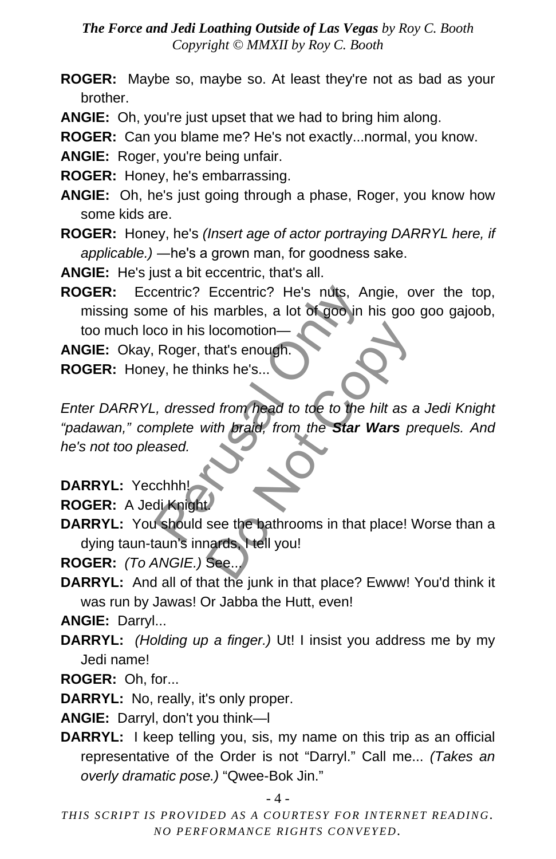- **ROGER:** Maybe so, maybe so. At least they're not as bad as your brother.
- **ANGIE:** Oh, you're just upset that we had to bring him along.
- **ROGER:** Can you blame me? He's not exactly...normal, you know.
- **ANGIE:** Roger, you're being unfair.
- **ROGER:** Honey, he's embarrassing.
- **ANGIE:** Oh, he's just going through a phase, Roger, you know how some kids are.
- **ROGER:** Honey, he's *(Insert age of actor portraying DARRYL here, if applicable.)* ―he's a grown man, for goodness sake.
- **ANGIE:** He's just a bit eccentric, that's all.

**ROGER:** Eccentric? Eccentric? He's nuts, Angie, over the top, missing some of his marbles, a lot of goo in his goo goo gajoob, too much loco in his locomotion—

**ANGIE:** Okay, Roger, that's enough.

**ROGER:** Honey, he thinks he's...

*Enter DARRYL, dressed from head to toe to the hilt as a Jedi Knight "padawan," complete with braid, from the Star Wars prequels. And he's not too pleased.* centric? Eccentric? He's nuts, Ang<br>
me of his marbles, a lot of goo in hi<br>
co in his locomotion—<br>
Roger, that's enough.<br>
Py, he thinks he's...<br>
ey, he thinks he's...<br>
For the Star Weight<br>
mplete with braid, from the Star W Iocomotion—<br>
that's enough.<br>
Inks he's...<br>
Ind from head to toe to the hilt as a<br>
with braid, from the **Star Wars** pi<br>
see the bathrooms in that place! \<br>
ards, Hell you!<br>
See...

**DARRYL:** Yecchhh!

**ROGER:** A Jedi Knight.

**DARRYL:** You should see the bathrooms in that place! Worse than a dying taun-taun's innards, I tell you!

**ROGER:** *(To ANGIE.)* See...

**DARRYL:** And all of that the junk in that place? Ewww! You'd think it was run by Jawas! Or Jabba the Hutt, even!

**ANGIE:** Darryl...

- **DARRYL:** *(Holding up a finger.)* Ut! I insist you address me by my Jedi name!
- **ROGER:** Oh, for...

**DARRYL:** No, really, it's only proper.

**ANGIE:** Darryl, don't you think—l

**DARRYL:** I keep telling you, sis, my name on this trip as an official representative of the Order is not "Darryl." Call me... *(Takes an overly dramatic pose.)* "Qwee-Bok Jin."

- 4 -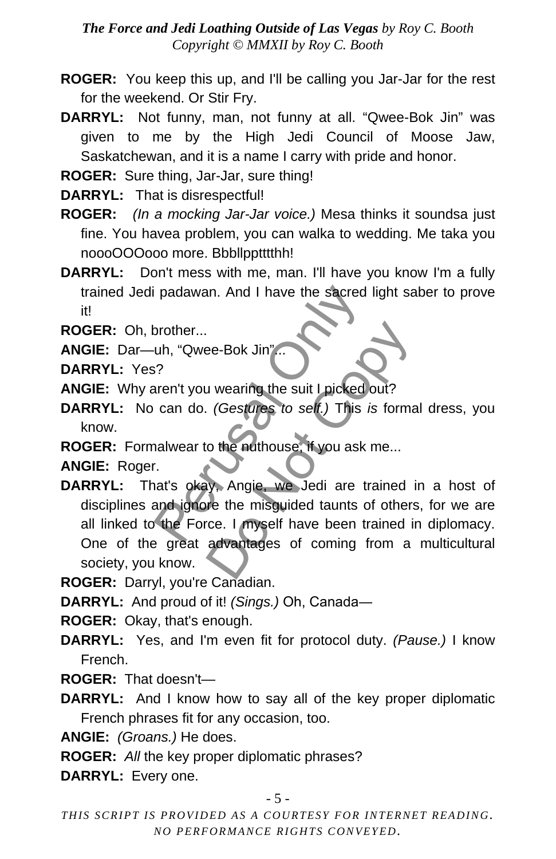- **ROGER:** You keep this up, and I'll be calling you Jar-Jar for the rest for the weekend. Or Stir Fry.
- **DARRYL:** Not funny, man, not funny at all. "Qwee-Bok Jin" was given to me by the High Jedi Council of Moose Jaw, Saskatchewan, and it is a name I carry with pride and honor.
- **ROGER:** Sure thing, Jar-Jar, sure thing!
- **DARRYL:** That is disrespectful!
- **ROGER:** *(In a mocking Jar-Jar voice.)* Mesa thinks it soundsa just fine. You havea problem, you can walka to wedding. Me taka you noooOOOooo more. Bbbllpptttthh!
- **DARRYL:** Don't mess with me, man. I'll have you know I'm a fully trained Jedi padawan. And I have the sacred light saber to prove it!

**ROGER:** Oh, brother...

- **ANGIE:** Dar—uh, "Qwee-Bok Jin"...
- **DARRYL:** Yes?
- **ANGIE:** Why aren't you wearing the suit I picked out?
- **DARRYL:** No can do. *(Gestures to self.)* This *is* formal dress, you know.
- **ROGER:** Formalwear to the nuthouse, if you ask me...

**ANGIE:** Roger.

- **DARRYL:** That's okay, Angie, we Jedi are trained in a host of disciplines and ignore the misguided taunts of others, for we are all linked to the Force. I myself have been trained in diplomacy. One of the great advantages of coming from a multicultural society, you know. padawan. And I have the sacred li<br>prother...<br>uh, "Qwee-Bok Jin"...<br>?<br>Paren't you wearing the suit I picked or<br>can do. (Gestures to self.) This is<br>nalwear to the nuthouse, if you ask m<br>at's okey. Angie, we Jedi are tra<br>and Be-Bok Jin"...<br>
De-Bok Jin"...<br>
(Gestures to self.) This is formation of the nuthouse, if you ask me...<br>
This is formation of the nuthouse, if you ask me...<br>
This is formation of the number of the misguided taunts of other
- **ROGER:** Darryl, you're Canadian.

**DARRYL:** And proud of it! *(Sings.)* Oh, Canada―

**ROGER:** Okay, that's enough.

- **DARRYL:** Yes, and I'm even fit for protocol duty. *(Pause.)* I know French.
- **ROGER:** That doesn't—
- **DARRYL:** And I know how to say all of the key proper diplomatic French phrases fit for any occasion, too.
- **ANGIE:** *(Groans.)* He does.
- **ROGER:** *All* the key proper diplomatic phrases?
- **DARRYL:** Every one.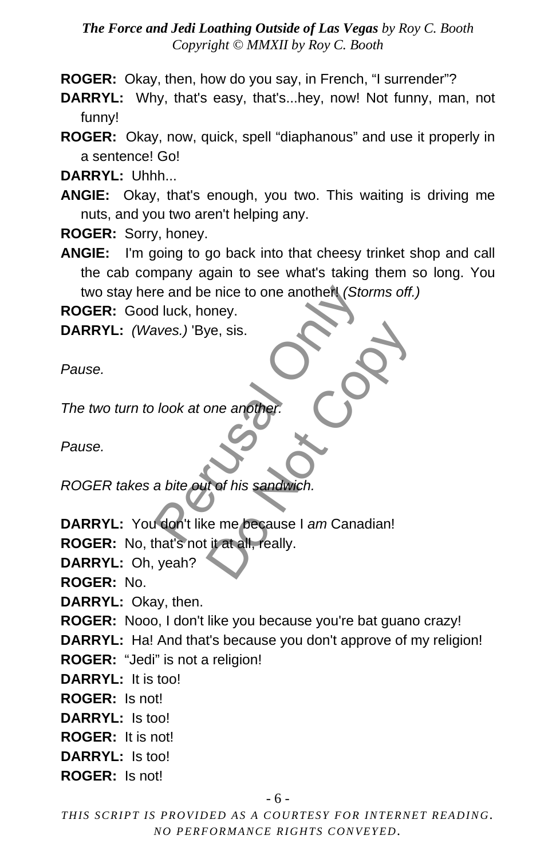**ROGER:** Okay, then, how do you say, in French, "I surrender"?

**DARRYL:** Why, that's easy, that's...hey, now! Not funny, man, not funny!

**ROGER:** Okay, now, quick, spell "diaphanous" and use it properly in a sentence! Go!

**DARRYL:** Uhhh...

**ANGIE:** Okay, that's enough, you two. This waiting is driving me nuts, and you two aren't helping any.

**ROGER:** Sorry, honey.

**ANGIE:** I'm going to go back into that cheesy trinket shop and call the cab company again to see what's taking them so long. You two stay here and be nice to one another! *(Storms off.)*

**ROGER:** Good luck, honey.

**DARRYL:** *(Waves.)* 'Bye, sis.

*Pause.*

*The two turn to look at one another.*

*Pause.*

*ROGER takes a bite out of his sandwich.*

**DARRYL:** You don't like me because I *am* Canadian! re and be nice to one another (Storm<br>
Huck, honey.<br>
aves.) 'Bye, sis.<br>
Jook at one another.<br>
A bite out of his sandwich.<br>
A don't like me because I *am* Canadia<br>
A bite out of his sandwich. e, sis.<br>
one another.<br>
the his sandwich.<br>
the me because I am Canadian!<br>
it at all, really.

**ROGER:** No, that's not it at all, really.

**DARRYL:** Oh, yeah?

**ROGER:** No.

**DARRYL:** Okay, then.

**ROGER:** Nooo, I don't like you because you're bat guano crazy!

**DARRYL:** Ha! And that's because you don't approve of my religion!

**ROGER:** "Jedi" is not a religion!

**DARRYL:** It is too!

**ROGER:** Is not!

**DARRYL:** Is too!

**ROGER:** It is not!

**DARRYL:** Is too!

**ROGER:** Is not!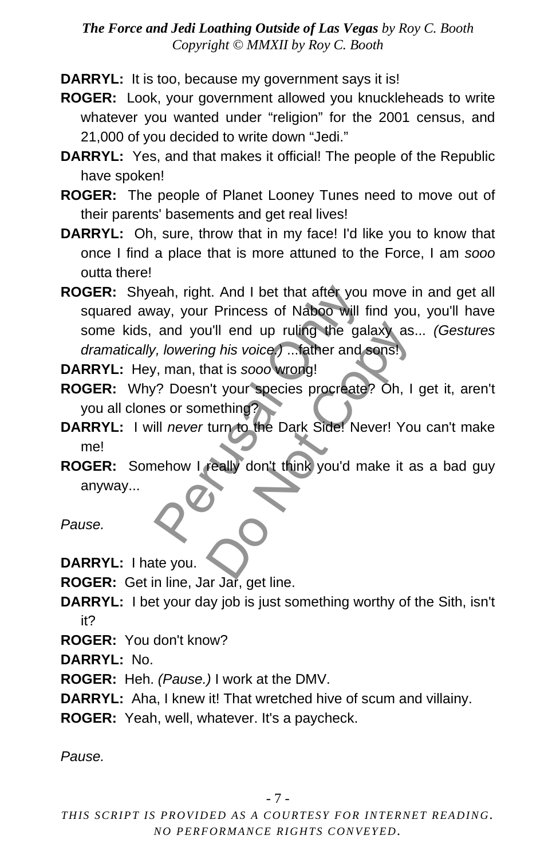**DARRYL:** It is too, because my government says it is!

- **ROGER:** Look, your government allowed you knuckleheads to write whatever you wanted under "religion" for the 2001 census, and 21,000 of you decided to write down "Jedi."
- **DARRYL:** Yes, and that makes it official! The people of the Republic have spoken!
- **ROGER:** The people of Planet Looney Tunes need to move out of their parents' basements and get real lives!
- **DARRYL:** Oh, sure, throw that in my face! I'd like you to know that once I find a place that is more attuned to the Force, I am *sooo*  outta there!
- **ROGER:** Shyeah, right. And I bet that after you move in and get all squared away, your Princess of Naboo will find you, you'll have some kids, and you'll end up ruling the galaxy as... *(Gestures dramatically, lowering his voice.)* ...father and sons! Franchise Back of Naboo will find and you'll end up ruling the galary, your Princess of Naboo will find and you'll end up ruling the galary, lowering his voice.) ... father and so with the state and so with the state of th u'll end up ruling the galaxy as.<br>
Ing his voice.) ... father and sons!<br>
hat is sooo wrong!<br>
I't your species procreate? Oh, I<br>
mething?<br>
turn to the Dark Side! Never! You<br>
really don't think you'd make it a

**DARRYL:** Hey, man, that is *sooo* wrong!

- **ROGER:** Why? Doesn't your species procreate? Oh, I get it, aren't you all clones or something?
- **DARRYL:** I will *never* turn to the Dark Side! Never! You can't make me!
- **ROGER:** Somehow I really don't think you'd make it as a bad guy anyway...

*Pause.*

**DARRYL:** I hate you.

**ROGER:** Get in line, Jar Jar, get line.

- **DARRYL:** I bet your day job is just something worthy of the Sith, isn't it?
- **ROGER:** You don't know?

**DARRYL:** No.

**ROGER:** Heh. *(Pause.)* I work at the DMV.

**DARRYL:** Aha, I knew it! That wretched hive of scum and villainy.

**ROGER:** Yeah, well, whatever. It's a paycheck.

*Pause.*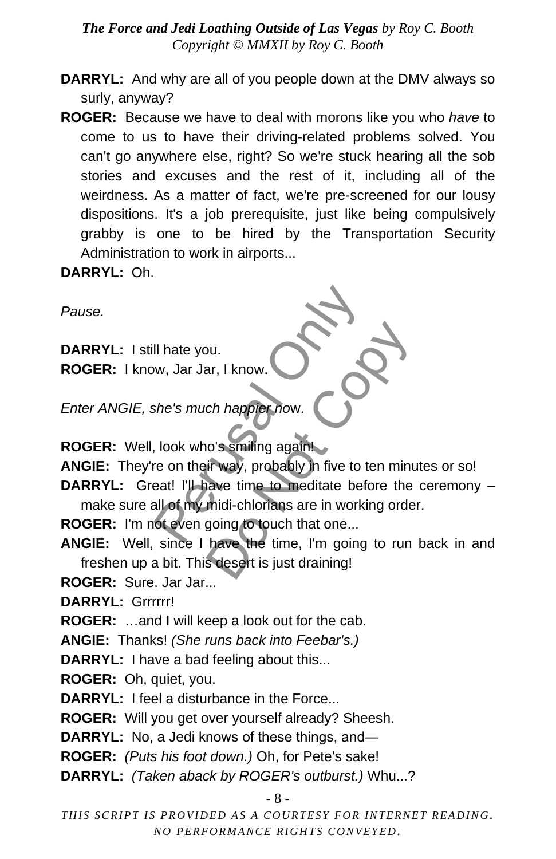- **DARRYL:** And why are all of you people down at the DMV always so surly, anyway?
- **ROGER:** Because we have to deal with morons like you who *have* to come to us to have their driving-related problems solved. You can't go anywhere else, right? So we're stuck hearing all the sob stories and excuses and the rest of it, including all of the weirdness. As a matter of fact, we're pre-screened for our lousy dispositions. It's a job prerequisite, just like being compulsively grabby is one to be hired by the Transportation Security Administration to work in airports...

**DARRYL:** Oh.

*Pause.*

**DARRYL:** I still hate you. **ROGER:** I know, Jar Jar, I know.

*Enter ANGIE, she's much happier no*w.

**ROGER:** Well, look who's smiling again!

**ANGIE:** They're on their way, probably in five to ten minutes or so!

**DARRYL:** Great! I'll have time to meditate before the ceremony – make sure all of my midi-chlorians are in working order. Il hate you.<br>
w, Jar Jar, I know.<br>
she's much happier now.<br>
block who's smiling again!<br>
The onlight way, probably in five to terest! I'll have time to meditate before<br>
all of my midi-chlorians are in working<br>
of even going bu.<br>
ar, I know.<br>
ch happier now.<br>
co's smiling againt<br>
ir way, probably in five to ten minu<br>
ir way, probably in five to ten minu<br>
awe time to meditate before the<br>
midi-chlorians are in working orde<br>
going to touch that o

**ROGER:** I'm not even going to touch that one...

- **ANGIE:** Well, since I have the time, I'm going to run back in and freshen up a bit. This desert is just draining!
- **ROGER:** Sure. Jar Jar...

**DARRYL:** Grrrrrr!

**ROGER:** …and I will keep a look out for the cab.

**ANGIE:** Thanks! *(She runs back into Feebar's.)*

**DARRYL:** I have a bad feeling about this...

**ROGER:** Oh, quiet, you.

**DARRYL:** I feel a disturbance in the Force...

**ROGER:** Will you get over yourself already? Sheesh.

**DARRYL:** No, a Jedi knows of these things, and―

**ROGER:** *(Puts his foot down.)* Oh, for Pete's sake!

**DARRYL:** *(Taken aback by ROGER's outburst.)* Whu...?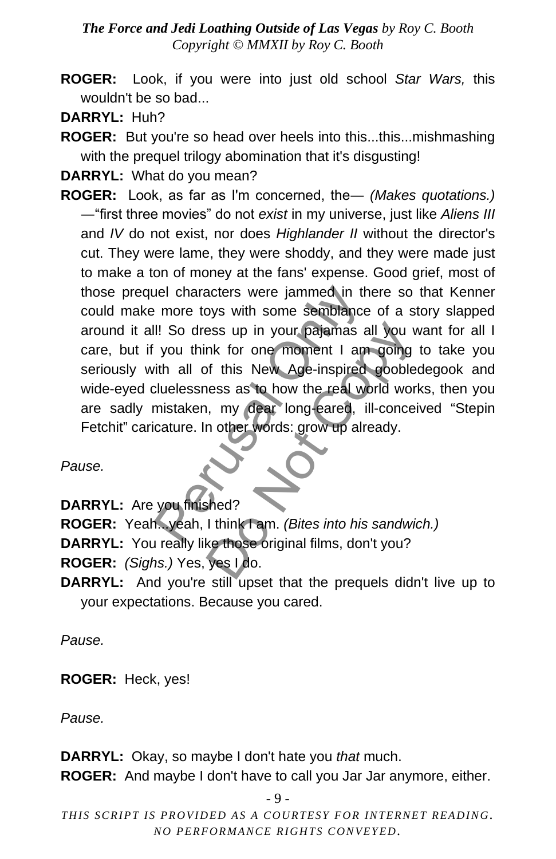- **ROGER:** Look, if you were into just old school *Star Wars,* this wouldn't be so bad...
- **DARRYL:** Huh?

**ROGER:** But you're so head over heels into this...this...mishmashing with the prequel trilogy abomination that it's disgusting!

**DARRYL:** What do you mean?

**ROGER:** Look, as far as I'm concerned, the― *(Makes quotations.)*  ―"first three movies" do not *exist* in my universe, just like *Aliens III* and *IV* do not exist, nor does *Highlander II* without the director's cut. They were lame, they were shoddy, and they were made just to make a ton of money at the fans' expense. Good grief, most of those prequel characters were jammed in there so that Kenner could make more toys with some semblance of a story slapped around it all! So dress up in your pajamas all you want for all I care, but if you think for one moment I am going to take you seriously with all of this New Age-inspired goobledegook and wide-eyed cluelessness as to how the real world works, then you are sadly mistaken, my dear long-eared, ill-conceived "Stepin Fetchit" caricature. In other words: grow up already. The lines were jammed in the more toys with some semblance of the more toys with some semblance of the solution of this New Age-inspired changed the solution of this New Age-inspired changed the solution of the solution of The Search of this weak work of this New Age-inspired gooble<br>
In this New Age-inspired gooble<br>
In this New Age-inspired gooble<br>
In the real world work<br>
In the real world work<br>
In this same words: grow up already.<br>
I think

*Pause.*

**DARRYL:** Are you finished?

**ROGER:** Yeah...yeah, I think I am. *(Bites into his sandwich.)*

**DARRYL:** You really like those original films, don't you?

**ROGER:** *(Sighs.)* Yes, yes I do.

**DARRYL:** And you're still upset that the prequels didn't live up to your expectations. Because you cared.

*Pause.*

**ROGER:** Heck, yes!

*Pause.*

**DARRYL:** Okay, so maybe I don't hate you *that* much.

**ROGER:** And maybe I don't have to call you Jar Jar anymore, either.

```
- 9 -
```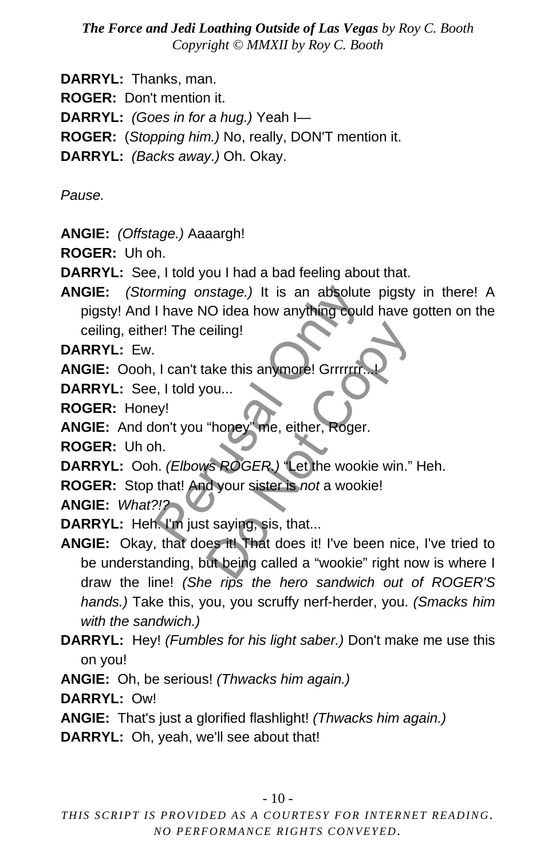**DARRYL:** Thanks, man.

**ROGER:** Don't mention it.

**DARRYL:** *(Goes in for a hug.)* Yeah I—

**ROGER:** (*Stopping him.)* No, really, DON'T mention it.

**DARRYL:** *(Backs away.)* Oh. Okay.

*Pause.*

**ANGIE:** *(Offstage.)* Aaaargh!

**ROGER:** Uh oh.

**DARRYL:** See, I told you I had a bad feeling about that.

**ANGIE:** *(Storming onstage.)* It is an absolute pigsty in there! A pigsty! And I have NO idea how anything could have gotten on the ceiling, either! The ceiling! ming onstage.) It is an absolute<br>
I have NO idea how anything could<br>
pr! The ceiling!<br>
I can't take this anymore! Grirrin.<br>
Py!<br>
on't you "honey" me, either, Roger.<br>
h.<br>
D. (Elbows ROGER) "Let the wookie<br>
that! And your si

**DARRYL:** Ew.

**ANGIE:** Oooh, I can't take this anymore! Grrrrrrr.

**DARRYL:** See, I told you...

**ROGER:** Honey!

**ANGIE:** And don't you "honey" me, either, Roger.

**ROGER:** Uh oh.

**DARRYL:** Ooh. *(Elbows ROGER.)* "Let the wookie win." Heh.

**ROGER:** Stop that! And your sister is *not* a wookie!

**ANGIE:** *What?!?*

**DARRYL:** Heh. I'm just saying, sis, that...

**ANGIE:** Okay, that does it! That does it! I've been nice, I've tried to be understanding, but being called a "wookie" right now is where I draw the line! *(She rips the hero sandwich out of ROGER'S hands.)* Take this, you, you scruffy nerf-herder, you. *(Smacks him with the sandwich.)* eiling!<br>
ake this anymore! Grirrrrrr...<br>
ou...<br>
"honey" me, either, Roger.<br>
s ROGER.) "Let the wookie win."<br>
d your sister is not a wookie!<br>
t saying, sis, that...<br>
es it! That does it! I've been nice<br>
ut being called a "w

**DARRYL:** Hey! *(Fumbles for his light saber.)* Don't make me use this on you!

**ANGIE:** Oh, be serious! *(Thwacks him again.)* 

**DARRYL:** Ow!

**ANGIE:** That's just a glorified flashlight! *(Thwacks him again.)*

**DARRYL:** Oh, yeah, we'll see about that!